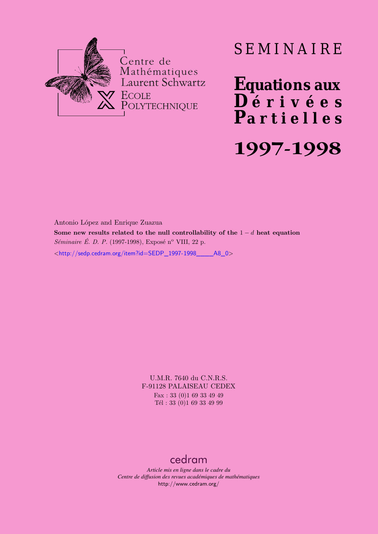

# SEMINAIRE

**Equations aux**  $\overline{\mathbf{D}}$  érivées **Partielles 1997-1998**

## Antonio López and Enrique Zuazua

**Some new results related to the null controllability of the** 1 − d **heat equation** *Séminaire É. D. P.* (1997-1998), Exposé n<sup>o</sup> VIII, 22 p.

 $\lt$ http://sedp.cedram.org/item?id=SEDP\_1997-1998\_\_\_\_\_A8\_0>

U.M.R. 7640 du C.N.R.S. F-91128 PALAISEAU CEDEX Fax : 33 (0)1 69 33 49 49 Tél : 33 (0)1 69 33 49 99

## [cedram](http://www.cedram.org/)

*Article mis en ligne dans le cadre du Centre de diffusion des revues académiques de mathématiques* <http://www.cedram.org/>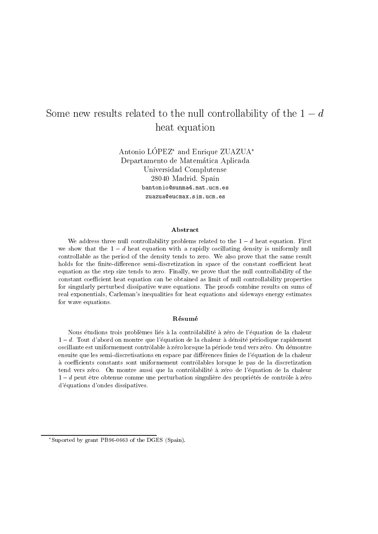## $\sim$  0.000 meV results related to the null controllability of the -  $\sim$ heat equation

Antonio LOPEZ - and Enrique ZUAZUA Departamento de Matem-atica Aplicada Universidad Complutense 28040 Madrid. Spain

### A bstract

we address three hull controllability problems related to the  $\bar{1} = u$  heat equation. First  $u$ we show that the - <sup>d</sup> heat equation with <sup>a</sup> rapidly oscillating density is uniformly null controllable as the period of the density tends to zero We also prove that the same result holds for the nitedierence semidiscretization in space of the constant coecient heat equation as the step size tends to zero Finally we prove that the null controllability of the constant coefficient heat equation can be obtained as limit of null controllability properties for singularly perturbed dissipative wave equations The proofs combine results on sums of real exponentials, Carleman's inequalities for heat equations and sideways energy estimates for wave equations

## Résumé

Nous etudions trois problemes li es a la controlabilit e a z ero de <sup>l</sup>equation de la chaleur $1-a$ . Tout a abord on montre que i equation de la chaleur a densité periodique rapidement oscillante est uniformement controlable a z ero lorsque la p eriode tend vers z ero On d emontreensuite que les semidiscretisations en espace par di erences nies de l equation de la chaleura coecients constants sont uniformement controlables lorsque le pas de la discretization tendo i con montre (an montre aussi que la contrentación a montre de la chaleurativa de la chaleurativa de la  $\tau=a$  peut ette obtenue comme une perturbation singuilere des proprietes de comtole à zero d equations d'ondes dissipatives.

Suported by grant PB96-0003 of the DGES (Spain).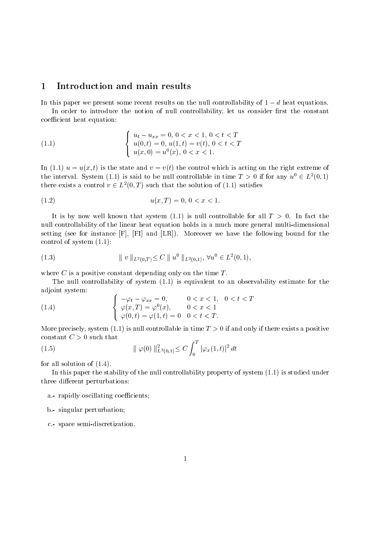#### $\mathbf{1}$ Introduction and main results

In this paper we present some recent results on the null controllability or  $1-a$  heat equations.

In order to introduce the notion of null controllability, let us consider first the constant coefficient heat equation:

(1.1) 
$$
\begin{cases} u_t - u_{xx} = 0, \ 0 < x < 1, \ 0 < t < T \\ u(0, t) = 0, \ u(1, t) = v(t), \ 0 < t < T \\ u(x, 0) = u^0(x), \ 0 < x < 1. \end{cases}
$$

in the state and visit the state and visit the right is acting on the right is acting on the right of the right the interval. System (1.1) is said to be null controllable in time  $T > 0$  if for any  $u^{\circ} \in L^2(0,1)$ there exists a control  $v \in L^2(0,T)$  such that the solution of (1.1) satisfies

$$
(1.2) \t\t u(x,T) = 0, \ 0 < x < 1.
$$

It is by now we have system that system  $\mathbf{I}$  is null controllable for all T  $\mathbf{I}$ null controllability of the linear heat equation holds in a much more general multi
dimensional setting see for instance F FI and LR Moreover we have the following bound for the control of system in the control of the control of the control of the control of the control of the control of

(1.3) 
$$
\| v \|_{L^2(0,T)} \leq C \| u^0 \|_{L^2(0,1)}, \forall u^0 \in L^2(0,1),
$$

where  $C$  is a positive constant depending only on the time  $T$ .

The null controllability of system -- is equivalent to an observability estimate for the adjoint system

(1.4) 
$$
\begin{cases}\n-\varphi_t - \varphi_{xx} = 0, & 0 < x < 1, \quad 0 < t < T \\
\varphi(x, T) = \varphi^0(x), & 0 < x < 1 \\
\varphi(0, t) = \varphi(1, t) = 0 & 0 < t < T.\n\end{cases}
$$

More precisely system -- is null controllable in time T if and only if there exists a positive constant  $C > 0$  such that  $\overline{a}$ 

(1.5) 
$$
\|\varphi(0)\|_{L^2(0,1)}^2 \le C \int_0^T |\varphi_x(1,t)|^2 dt
$$

for all solution of -

In this paper the stability of the null controllability property of system -- is studied under three different perturbations:

- a.- rapidly oscillating coefficients;
- b.- singular perturbation;
- c space semi
discretization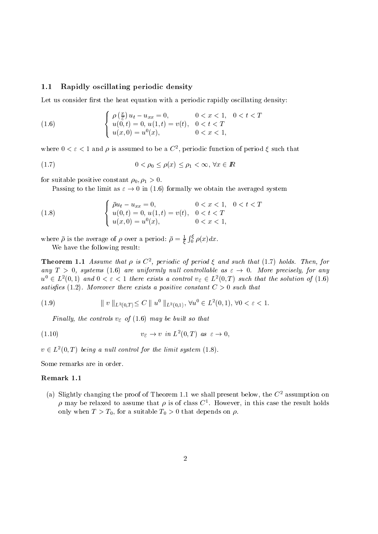#### 1.1 Rapidly oscillating periodic density

Let us consider first the heat equation with a periodic rapidly oscillating density:

(1.6) 
$$
\begin{cases} \rho\left(\frac{x}{\varepsilon}\right)u_t - u_{xx} = 0, & 0 < x < 1, \quad 0 < t < T \\ u(0, t) = 0, u(1, t) = v(t), & 0 < t < T \\ u(x, 0) = u^0(x), & 0 < x < 1, \end{cases}
$$

where  $0 \leq \varepsilon \leq 1$  and  $\rho$  is assumed to be a  $C$  , periodic function of period  $\zeta$  such that

$$
(1.7) \t\t 0 < \rho_0 \le \rho(x) \le \rho_1 < \infty, \forall x \in \mathbb{R}
$$

for suitable positive constant  $\overline{\mathbb{F}}$  (i.e. ).

Passing to the limit as  $\varepsilon \to 0$  in (1.6) formally we obtain the averaged system

(1.8) 
$$
\begin{cases} \bar{\rho}u_t - u_{xx} = 0, & 0 < x < 1, \quad 0 < t < T \\ u(0, t) = 0, u(1, t) = v(t), & 0 < t < T \\ u(x, 0) = u^0(x), & 0 < x < 1, \end{cases}
$$

where  $\bar{\rho}$  is the average of  $\rho$  over a period:  $\bar{\rho} = \frac{1}{\xi} \int_0^{\xi} \rho(x) dx$ .

We have the following result

**Theorem 1.1** Assume that  $\rho$  is  $\cup$ , periodic of period  $\zeta$  and such that  $(1, t)$  holds. Then, for any  $T > 0$ , systems (1.6) are uniformly null controllable as  $\varepsilon \rightarrow 0$ . More precisely, for any  $u^{\circ} \in L^2(0,1)$  and  $0 < \varepsilon < 1$  there exists a control  $v_{\varepsilon} \in L^2(0,T)$  such that the solution of  $(1.6)$ satisfies (when it was the constant constant C increased constant C  $\,$  such that the constant  $\,$ 

(1.9) 
$$
\| v \|_{L^2(0,T)} \leq C \| u^0 \|_{L^2(0,1)}, \ \forall u^0 \in L^2(0,1), \ \forall 0 < \varepsilon < 1.
$$

 $\mathbf{F}$  , and a control values of  $\mathbf{F}$  of  $\mathbf{F}$  of  $\mathbf{F}$  , and a control value of  $\mathbf{F}$ 

$$
(1.10) \t v_{\varepsilon} \to v \t in \t L^2(0,T) \t as \t \varepsilon \to 0,
$$

 $v \in L^2(0,T)$  being a null control for the limit system (1.8).

Some remarks are in order

(a) Slightly changing the proof of Theorem 1.1 we shall present below, the  $C^-$  assumption on  $\rho$  may be relaxed to assume that  $\rho$  is of class  $C^+$ . However, in this case the result holds only when  $T > T_0$ , for a suitable  $T_0 > 0$  that depends on  $\rho$ .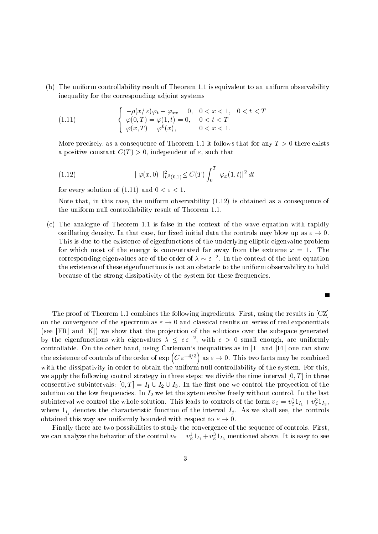, the uniform controllability result of Theorem - is equivalent to an uniform observable to an uniform  $\mu$ inequality for the corresponding adjoint systems

(1.11) 
$$
\begin{cases}\n-\rho(x/\varepsilon)\varphi_t - \varphi_{xx} = 0, & 0 < x < 1, \quad 0 < t < T \\
\varphi(0,T) = \varphi(1,t) = 0, & 0 < t < T \\
\varphi(x,T) = \varphi^0(x), & 0 < x < 1.\n\end{cases}
$$

More precisely as a consequence of Theorem -- it follows that for any T there exists a positive constant constant constant constant of - independent of - independent of - independent of - independent of - independent of - independent of - independent of - independent of - independent of - independent of -

(1.12) 
$$
\|\varphi(x,0)\|_{L^2(0,1)}^2 \leq C(T) \int_0^T |\varphi_x(1,t)|^2 dt
$$

for every solution of the contract of the contract of the contract of the contract of the contract of the contract of the contract of the contract of the contract of the contract of the contract of the contract of the cont

 $N$  is obtained as a consequence of  $N$  . This case the uniform observability  $N$  is obtained as a consequence of  $N$ the uniform null controllability result of Theorem -  $\mathcal{U}$ 

compared the analogue of the context of the wave equation with rapidly with rapidly with rapidly with  $\sim$ oscillating density. In that case, for fixed initial data the controls may blow up as  $\varepsilon \to 0$ . This is due to the existence of eigenfunctions of the underlying elliptic eigenvalue problem for  $\mathbf{f}$  and  $\mathbf{f}$  are energy is concentrated far away from the extreme x  $\mathbf{f}$ corresponding eigenvalues are of the order of  $\lambda \sim \varepsilon^{-1}$ . In the context of the heat equation the existence of these eigenfunctions is not an obstacle to the uniform observability to hold because of the strong dissipativity of the system for these frequencies

 $\blacksquare$ 

The proof of Theorem -  $\mathbf{f}$  and  $\mathbf{f}$  ingredients  $\mathbf{f}$  ingredients  $\mathbf{f}$  in  $\mathbf{f}$  in  $\mathbf{f}$ on the convergence of the spectrum as  $\varepsilon \to 0$  and classical results on series of real exponentials see FR and K we show that the pro jection of the solutions over the subspace generated by the eigenfunctions with eigenvalues  $\lambda \leq c \epsilon^{-2}$ , with  $c > 0$  small enough, are uniformly the existence of controls of the order of  $\exp(C \varepsilon^{-4/3})$  as  $\varepsilon \to 0$ . This two facts may be combined with the dissipativity in order to obtain the uniform null controllability of the system. For this. we apply the following control strategy in the time is the time interval  $\cdots$  . The time interval  $\cdots$ consecutive subintervals:  $[0, T] = I_1 \cup I_2 \cup I_3$ . In the first one we control the proyection of the solution on the low frequencies In I-let the sytem evolve freely without control In the last  $\mu$ subinterval we control the whole solution. This leads to controls of the form  $v_{\mathcal{E}} = v_{\mathcal{E}} \mathbb{1}_{I_1} + v_{\mathcal{E}} \mathbb{1}_{I_3}$ ,  $I_{\eta}$  denotes the characteristic function of the interval interval interval interval interval interval interval interval interval interval interval interval interval interval interval interval interval interval interval obtained this way are uniformly bounded with respect to  $\varepsilon \to 0$ .

Finally there are two possibilities to study the convergence of the sequence of controls. First, we can analyze the behavior of the control  $v_{\mathcal{E}} = v_{\mathcal{E}} 1_{I_1} + v_{\mathcal{E}} 1_{I_3}$  mentioned above. It is easy to see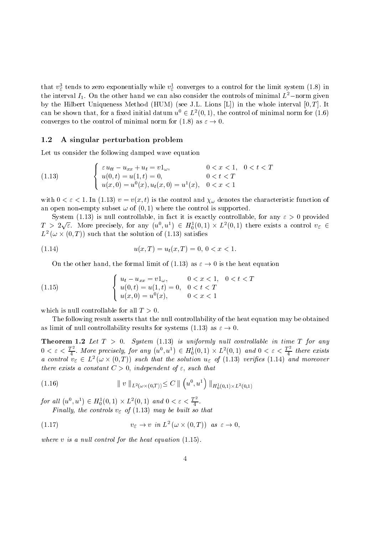that  $v_{\mathcal{E}}$  tends to zero exponentially while  $v_{\mathcal{E}}$  converges to a control for the limit system (1.6) in the interval  $T_1$ . On the other hand we can also consider the controls of minimal  $L$  –horm given by the Hilbert Uniqueness Method HUM see JL Lions L in the whole interval - T It can be shown that, for a fixed initial datum  $u^{\circ} \in L^2(0,1)$ , the control of minimal norm for (1.6) converges to the control of minimal norm for (1.8) as  $\varepsilon \to 0$ .

#### $1.2$ A singular perturbation problem

Let us consider the following damped wave equation

(1.13) 
$$
\begin{cases} \varepsilon u_{tt} - u_{xx} + u_t = v1_{\omega}, & 0 < x < 1, \quad 0 < t < T \\ u(0, t) = u(1, t) = 0, & 0 < t < T \\ u(x, 0) = u^0(x), u_t(x, 0) = u^1(x), & 0 < x < 1 \end{cases}
$$

 $\alpha$  -value the control and  $\alpha$  is the control and  $\alpha$ and the control is subset to the the control is subset that the control is supported to the control is supported to

system (it is nuclear it in fact it is nuclear it is exactly it in factor  $\mathcal{A}$  , we have for any  $\mathcal{A}$  $T > 2\sqrt{\varepsilon}$ . More precisely, for any  $(u^0, u^1) \in H_0^1(0,1) \times L^2(0,1)$  there exists a control  $v_{\varepsilon} \in$  $L^2$  ( $\omega \times (0,T)$ ) such that the solution of (1.13) satisfies

(1.14) 
$$
u(x,T) = u_t(x,T) = 0, \, 0 < x < 1.
$$

On the other hand, the formal limit of (1.13) as  $\varepsilon \to 0$  is the heat equation

(1.15) 
$$
\begin{cases} u_t - u_{xx} = v1_{\omega}, & 0 < x < 1, \quad 0 < t < T \\ u(0, t) = u(1, t) = 0, & 0 < t < T \\ u(x, 0) = u^0(x), & 0 < x < 1 \end{cases}
$$

which is null controllable for all  $T > 0$ .

The following result asserts that the null controllability of the heat equation may be obtained as limit of null controllability results for systems (1.13) as  $\varepsilon \to 0$ .

Theorem - Let T System -- is uniformly nul l control lable in time T for any  $0 < \varepsilon < \frac{T^2}{4}$ . More precisely, for any  $(u^0, u^1) \in H_0^1(0, 1) \times L^2(0, 1)$  and  $0 < \varepsilon < \frac{T^2}{4}$  there exists<br>a control  $v_{\varepsilon} \in L^2(\omega \times (0, T))$  such that the solution  $u_{\varepsilon}$  of (1.13) verifies (1.14) and moreover there exists a constant  $\mathbf{r}$  and  $\mathbf{r}$  and  $\mathbf{r}$  and  $\mathbf{r}$  and  $\mathbf{r}$ 

$$
(1.16) \t\t\t || v ||_{L^{2}(\omega \times (0,T))} \leq C || (u^{0}, u^{1}) ||_{H_{0}^{1}(0,1) \times L^{2}(0,1)}
$$

for all  $(u^0, u^1) \in H_0^1(0, 1) \times L^2(0, 1)$  and  $0 < \varepsilon < \frac{T^2}{4}$ .

(1.17) 
$$
v_{\varepsilon} \to v \text{ in } L^2(\omega \times (0,T)) \text{ as } \varepsilon \to 0,
$$

where y is a number of the late the heat equation (  $\rightarrow$  ).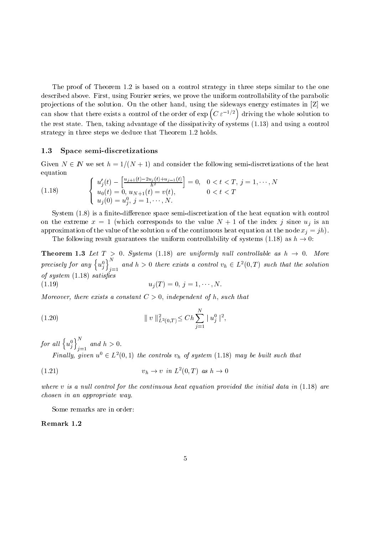The proof of Theorem - is based on a control strategy in three steps similar to the one described above. First, using Fourier series, we prove the uniform controllability of the parabolic projections of the solution. On the other hand, using the sideways energy estimates in  $[Z]$  we can show that there exists a control of the order of  $\exp(C \epsilon^{-1/2})$  driving t driving the whole solution to the rest state Theorem taking advantage of the dissipativity of the dissipativity of systems  $\mathbf{u}$ strategy in the steps we deduce the steps we deduce the three steps we deduce that Theorem - theorem - theorem -

#### 1.3 Space semi-discretizations

Given  $N \in \mathbb{N}$  we set  $h = 1/(N + 1)$  and consider the following semi-discretizations of the heat equation

(1.18) 
$$
\begin{cases} u'_j(t) - \left[\frac{u_{j+1}(t) - 2u_j(t) + u_{j-1}(t)}{h^2}\right] = 0, & 0 < t < T, j = 1, \dots, N \\ u_0(t) = 0, & u_{N+1}(t) = v(t), & 0 < t < T \\ u_j(0) = u_j^0, & j = 1, \dots, N. \end{cases}
$$

System - is a nite
dierence space semi
discretization of the heat equation with control on the extreme x - which corresponds to the value N - of the index <sup>j</sup> since uj is an approximation of the value of the solution u of the continuous heat equation at the node  $x_i = jh$ .

The following result guarantees the uniform controllability of systems (1.18) as  $h \to 0$ :

**Theorem 1.3** Let  $T > 0$ . Systems (1.18) are uniformly null controllable as  $h \rightarrow 0$ . More precisely for any  $\left\{u_j^0\right\}_{j=1}^N$  and  $h>0$  there exists a control  $v_h\in L^2(0,T)$  such that the solution of system is a system of the system of the system of the system of the system of the system of the system of the

(1.19) 
$$
u_j(T) = 0, j = 1, \cdots, N.
$$

more exists a constant constant constant constant constant constant constant constant of the constant of the cons

(1.20) 
$$
\| v \|_{L^2(0,T)}^2 \leq Ch \sum_{j=1}^N |u_j^0|^2,
$$

for all  $\left\{u_j^0\right\}_{j=1}^N$  and  $h>0$ .

Finally, given  $u^{\circ} \in L^2(0,1)$  the controls  $v_h$  of system (1.18) may be built such that

$$
(1.21) \t\t v_h \to v \text{ in } L^2(0,T) \text{ as } h \to 0
$$

where v is a null l control for the initial data in its control for the initial data in its control for the initial data in its control of the initial data in its control of the initial data in its control of the initial d chosen in an appropriate way

Some remarks are in order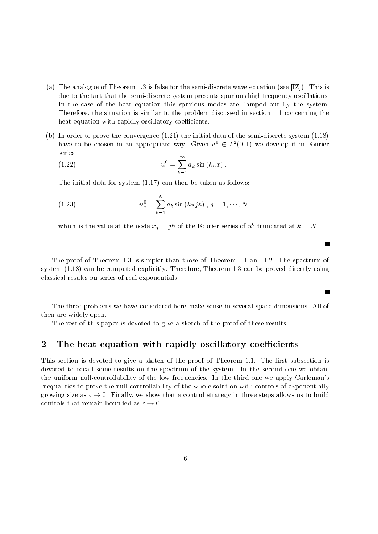- a Theorem And the semi-discrete wave end the semi-discrete wave equations the second property of the second due to the fact that the semi
discrete system presents spurious high frequency oscillations In the case of the heat equation this spurious modes are damped out by the system Therefore the situation is similar to the problem discussed in section  $\mathbf{r}$ heat equation with rapidly oscillatory coefficients.
- b In order to prove the convergence -- the initial data of the semi
discrete system have to be chosen in an appropriate way. Given  $u^{\circ} \in L^2(0,1)$  we develop it in Fourier series

(1.22) 
$$
u^{0} = \sum_{k=1}^{\infty} a_{k} \sin (k \pi x).
$$

 $\mathcal{A}$  in the initial data for system as follows: then be taken as follows: then be taken as follows:

(1.23) 
$$
u_j^0 = \sum_{k=1}^N a_k \sin(k\pi j h), \ j = 1, \cdots, N
$$

which is the value at the node  $x_j = jh$  of the Fourier series of u truncated at  $\kappa = N$ 

the proof is simpler and in the proof issued than the spectrum spectrum of the spectrum of the spectrum of the system (alar form of the proved directly Theorem - can be computed directly proved directly using the computed of the computed of the computed of the computed of the computed of the computed of the computed of the computed classical results on series of real exponentials

The three problems we have considered here make sense in several space dimensions All of then are widely open

П

The rest of this paper is devoted to give a sketch of the proof of these results

#### $\overline{2}$ The heat equation with rapidly oscillatory coefficients

This section is devoted to give a sketch of the proof of the proof of the proof of Theorem -  $\mathcal{F}(\mathbf{A})$ devoted to recall some results on the spectrum of the system. In the second one we obtain the uniform null-controllability of the low frequencies. In the third one we apply Carleman's inequalities to prove the null controllability of the whole solution with controls of exponentially growing size as  $\varepsilon \to 0$ . Finally, we show that a control strategy in three steps allows us to build controls that remain bounded as  $\varepsilon \to 0$ .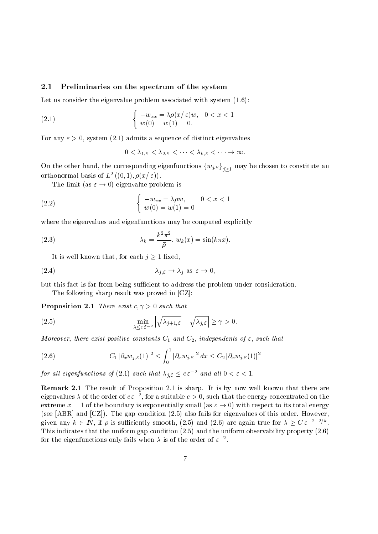#### 2.1 Preliminaries on the spectrum of the system

Let us consider the eigenvalue problem associated with system -

(2.1) 
$$
\begin{cases}\n-w_{xx} = \lambda \rho(x/\varepsilon) w, & 0 < x < 1 \\
w(0) = w(1) = 0.\n\end{cases}
$$

. Admits a sequence of distinct eigenvalues and admits a sequence of distinct eigenvalues of distinct eigenvalues

$$
0<\lambda_{1,\varepsilon}<\lambda_{2,\varepsilon}<\cdots<\lambda_{k,\varepsilon}<\cdots\to\infty.
$$

On the other hand, the corresponding eigenfunctions  ${w_{j,\varepsilon}}_{j>1}$  may be chosen to constitute an orthonormal basis of  $L_{-}(\{0,1\}, p(x \in I)).$ 

The limit (as  $\varepsilon \to 0$ ) eigenvalue problem is

(2.2) 
$$
\begin{cases}\n-w_{xx} = \lambda \bar{\rho} w, & 0 < x < 1 \\
w(0) = w(1) = 0\n\end{cases}
$$

where the eigenvalues and eigenfunctions may be computed explicitly

(2.3) 
$$
\lambda_k = \frac{k^2 \pi^2}{\bar{\rho}}, \ w_k(x) = \sin(k\pi x).
$$

It is well known that, for each  $j \geq 1$  fixed,

$$
\lambda_{j,\varepsilon} \to \lambda_j \text{ as } \varepsilon \to 0,
$$

but this fact is far from being sufficient to address the problem under consideration.

The following sharp result was proved in [CZ]: **Proposition 2.1** There exist  $c \sim 0$  such that

Proposition - There exist c- such that

(2.5) 
$$
\min_{\lambda \leq c \,\varepsilon^{-2}} \left| \sqrt{\lambda_{j+1,\varepsilon}} - \sqrt{\lambda_{j,\varepsilon}} \right| \geq \gamma > 0.
$$

, and there exist positive constants of  $\mathbf{J}$  and  $\mathbf{J}$  and  $\mathbf{J}$  and  $\mathbf{J}$  and  $\mathbf{J}$ 

(2.6) 
$$
C_1 |\partial_x w_{j,\varepsilon}(1)|^2 \leq \int_0^1 |\partial_x w_{j,\varepsilon}|^2 dx \leq C_2 |\partial_x w_{j,\varepsilon}(1)|^2
$$

for all eigenfunctions of (2.1) such that  $\lambda_{i,\varepsilon} \leq c \, \varepsilon^{-2}$  and all  $0 < \varepsilon < 1$ .

remarked at a result of Proposition and the result of the state it is sharp it is the state of the state  $\sim$ eigenvalues  $\lambda$  of the order of  $c \varepsilon_{-}$  , for a suitable  $c > 0$ , such that the energy concentrated on the extreme  $x = 1$  of the boundary is exponentially small (as  $\varepsilon \to 0$ ) with respect to its total energy  $\mathcal{S}$  and  $\mathcal{S}$  and  $\mathcal{S}$  and  $\mathcal{S}$  for eigenvalues of this order However However However However However However However However However However However However However However However However However However given any  $k \in \mathbb{N}$ , if  $\rho$  is sufficiently smooth, (2.5) and (2.6) are again true for  $\lambda \geq C \varepsilon^{-2} e^{-\lambda/\kappa}$ . the this indicates the uniform gap conditions (as ) which the uniform observables, property (ass) (  $\sim$ for the eigenfunctions only fails when  $\lambda$  is of the order of  $\varepsilon$  -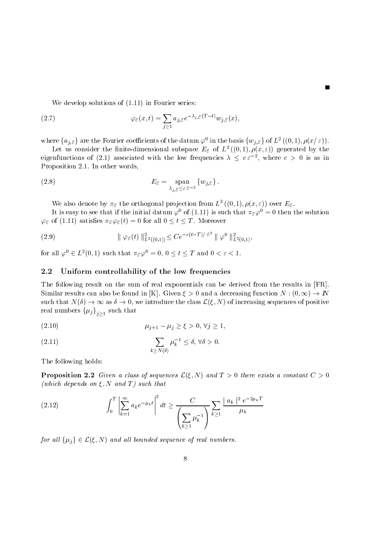(2.7) 
$$
\varphi_{\varepsilon}(x,t) = \sum_{j\geq 1} a_{j,\varepsilon} e^{-\lambda_{j,\varepsilon}(T-t)} w_{j,\varepsilon}(x),
$$

We develop solutions of --- in Fourier series

where  $\{a_{j,\varepsilon}\}\$ are the Fourier coefficients of the datum  $\varphi^0$  in the basis  $\{w_{j,\varepsilon}\}\$  of  $L^2((0,1), \rho(x/\varepsilon)).$ 

Let us consider the nuite-dimensional subspace  $L_{\mathcal{E}}$  of L  $((0,1), \rho(x,\varepsilon))$  generated by the eigenfunctions of (2.1) associated with the low frequencies  $\lambda \leq c \varepsilon^{-2}$ , where  $c > 0$  is as in Proposition - In other words

(2.8) 
$$
E_{\varepsilon} = \operatorname*{span}_{\lambda_{j,\varepsilon} \leq c \varepsilon^{-2}} \{w_{j,\varepsilon}\}.
$$

we also denote by  $\pi_{\mathcal{E}}$  the orthogonal projection from  $L^-(0,1), \rho(x,\varepsilon))$  over  $L_{\mathcal{E}}$ .

It is easy to see that if the initial datum  $\varphi$  of (1.11) is such that  $\pi_{\mathcal{E}}\varphi_-=0$  then the solution  $\varphi_{\varepsilon}$  of (1.11) satisfies  $\pi_{\varepsilon} \varphi_{\varepsilon}(t) = 0$  for all  $0 \leq t \leq T$ . Moreover

(2.9) 
$$
\|\varphi_{\varepsilon}(t)\|_{L^2((0,1))}^2 \leq Ce^{-c(t-T)/\varepsilon^2}\|\varphi^0\|_{L^2(0,1)}^2,
$$

for all  $\varphi^0 \in L^2(0,1)$  such that  $\pi_{\varepsilon} \varphi^0 = 0, 0 \leq t \leq T$  and  $0 < \varepsilon < 1$ .

#### 2.2 Uniform controllability of the low frequencies

The following result on the sum of real exponentials can be derived from the results in [FR]. Similar results can also be found in  $|K|$ . Given  $\xi > 0$  and a decreasing function  $N : (0, \infty) \to I\nu$ such that  $N(\delta) \to \infty$  as  $\delta \to 0$ , we introduce the class  $\mathcal{L}(\xi, N)$  of increasing sequences of positive real numbers  $\{\mu_j\}_{j>1}$  such that

(2.10) 
$$
\mu_{j+1} - \mu_j \ge \xi > 0, \ \forall j \ge 1,
$$

(2.11) 
$$
\sum_{k \ge N(\delta)} \mu_k^{-1} \le \delta, \ \forall \delta > 0.
$$

The following holds

**Proposition 2.2** Given a class of sequences  $\mathcal{L}(\xi, N)$  and  $T > 0$  there exists a constant  $C > 0$ which depends on  $\mathcal{L}_1 = \{1,2,3,4,5\}$  , which the  $\mathcal{L}_2 = \{1,2,3,4,5\}$ 

(2.12) 
$$
\int_0^T \left| \sum_{k=1}^{\infty} a_k e^{-\mu_k t} \right|^2 dt \ge \frac{C}{\left( \sum_{k \ge 1} \mu_k^{-1} \right)} \sum_{k \ge 1} \frac{|a_k|^2 e^{-2\mu_k T}}{\mu_k}
$$

for all  $\{\mu_j\} \in \mathcal{L}(\xi, N)$  and all bounded sequence of real numbers.

8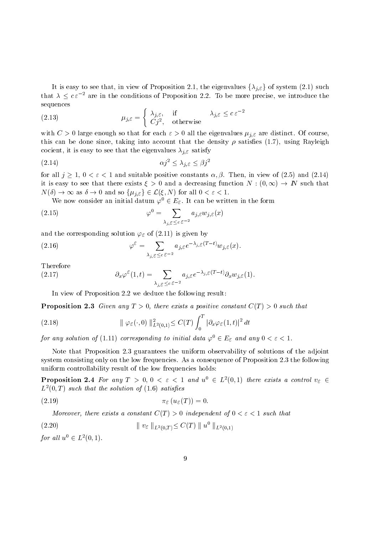It is easy to see that, in view of Proposition 2.1, the eigenvalues  $\{\lambda_{j,\varepsilon}\}$  of system (2.1) such that  $\lambda \leq c \varepsilon^{-2}$  are in the conditions of Proposition 2.2. To be more precise, we introduce the sequences

(2.13) 
$$
\mu_{j,\varepsilon} = \begin{cases} \lambda_{j,\varepsilon}, & \text{if} \qquad \lambda_{j,\varepsilon} \leq c \varepsilon^{-2} \\ Cj^2, & \text{otherwise} \end{cases}
$$

with  $\alpha$  is contracted so that for each  $\alpha$  are distinct of course  $\alpha$  and  $\alpha$ this can be done since the done since the density into account the density  $\mu$  accounts the density satisfies cocieties is the eight in the eight the eight the eight that the eight.

$$
\alpha j^2 \le \lambda_{j,\varepsilon} \le \beta j^2
$$

for all  $j \geq 1$ ,  $0 < \varepsilon < 1$  and suitable positive constants  $\alpha, \beta$ . Then, in view of (2.5) and (2.14) it is easy to see that there exists  $\xi > 0$  and a decreasing function  $N : (0, \infty) \to I\!N$  such that  $N(\delta) \to \infty$  as  $\delta \to 0$  and so  $\{\mu_{j,\varepsilon}\}\in \mathcal{L}(\xi,N)$  for all  $0<\varepsilon<1$ .

We now consider an initial datum  $\varphi^{\circ} \in E_{\mathcal{E}}$ . It can be written in the form

(2.15) 
$$
\varphi^0 = \sum_{\lambda_{j,\varepsilon} \leq c \varepsilon^{-2}} a_{j,\varepsilon} w_{j,\varepsilon}(x)
$$

and the corresponding solutions  $\mathcal{F} \cup \mathcal{F} = \{ \mathcal{F} \mid \mathcal{F} = \{ \mathcal{F} \mid \mathcal{F} = \mathcal{F} \}$ 

(2.16) 
$$
\varphi^{\varepsilon} = \sum_{\lambda_{j,\varepsilon} \leq c \varepsilon^{-2}} a_{j,\varepsilon} e^{-\lambda_{j,\varepsilon}(T-t)} w_{j,\varepsilon}(x).
$$

Therefore

(2.17) 
$$
\partial_x \varphi^{\varepsilon}(1,t) = \sum_{\lambda_{j,\varepsilon} \leq c \varepsilon^{-2}} a_{j,\varepsilon} e^{-\lambda_{j,\varepsilon}(T-t)} \partial_x w_{j,\varepsilon}(1).
$$

In view of Proposition 2.2 we deduce the following result:

Proposition Given any T , within this a position constant C  $\vert$  , , we have that

(2.18) 
$$
\|\varphi_{\varepsilon}(\cdot,0)\|_{L^2(0,1)}^2 \leq C(T) \int_0^T |\partial_x \varphi_{\varepsilon}(1,t)|^2 dt
$$

for any solution of (1.11) corresponding to initial data  $\varphi^o \in E_{\varepsilon}$  and any  $0 < \varepsilon < 1$ .

Note that Proposition 2.3 guarantees the uniform observability of solutions of the adjoint system consisting only on the low frequencies. As a consequence of Proposition  $2.3$  the following uniform controllability result of the low frequencies holds:

**Proposition 2.4** For any  $T > 0, 0 < \varepsilon < 1$  and  $u^{\circ} \in L^2(0,1)$  there exists a control  $v_{\varepsilon} \in$  $L$  (0,1) such that the solution of (1.0) satisfies

$$
\pi_{\varepsilon}(u_{\varepsilon}(T)) = 0.
$$

more exists a constant constant constant of  $\mathcal{L} = \{ \mathcal{L} \mid \mathcal{L} = \mathcal{L} \}$  , we constant that is not constant

$$
(2.20) \t\t\t || v_{\varepsilon} ||_{L^{2}(0,T)} \leq C(T) || u^{0} ||_{L^{2}(0,1)}
$$

for all  $u^{\circ} \in L^2(0,1)$ .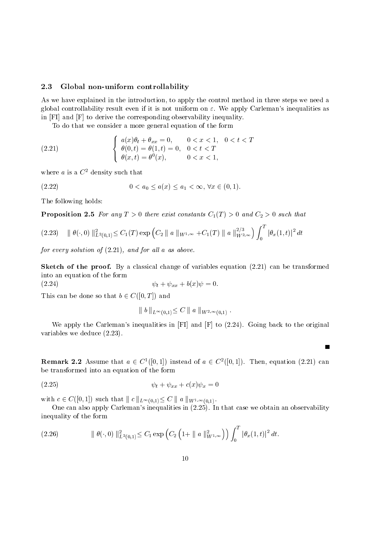#### 2.3 Global non-uniform controllability

As we have explained in the introduction, to apply the control method in three steps we need a global controllability result even if it is not uniform on  $\varepsilon$ . We apply Carleman's inequalities as in [FI] and [F] to derive the corresponding observability inequality.

To do that we consider a more general equation of the form

(2.21) 
$$
\begin{cases} a(x)\theta_t + \theta_{xx} = 0, & 0 < x < 1, \ 0 < t < T \\ \theta(0, t) = \theta(1, t) = 0, & 0 < t < T \\ \theta(x, t) = \theta^0(x), & 0 < x < 1, \end{cases}
$$

where  $a$  is a  $C^-$  density such that

(2.22) 
$$
0 < a_0 \le a(x) \le a_1 < \infty, \forall x \in (0, 1).
$$

The following holds

 $(2.24)$ 

Proposition is a such that there exist constants  $P$  is a such that  $P$  is a such that  $P$ 

$$
(2.23) \quad \|\theta(\cdot,0)\|_{L^2(0,1)}^2 \leq C_1(T) \exp\left(C_2 \|\|a\|_{W^{1,\infty}} + C_1(T) \|\|a\|_{W^{2,\infty}}^{2/3}\right) \int_0^T |\theta_x(1,t)|^2 dt
$$

for every solution of -- and for al l a as above

 $\mathbb{R}$  and proof By a classical change of variables equation  $\mathbb{R}$ into an equation of the form

$$
\psi_t + \psi_{xx} + b(x)\psi = 0.
$$

This can be done so that  $b \in C([0,T])$  and

$$
\| b \|_{L^{\infty}(0,1)} \leq C \| a \|_{W^{2,\infty}(0,1)}.
$$

We apply the Carlemans inequalities in FI and F to  Going back to the original variables we deduce  $\mathcal{N}$  and  $\mathcal{N}$ 

П

**Remark 2.2** Assume that  $a \in C^1([0,1])$  instead of  $a \in C^2([0,1])$ . Then, equation (2.21) can be transformed into an equation of the form

$$
\psi_t + \psi_{xx} + c(x)\psi_x = 0
$$

with  $c \in C([0,1])$  such that  $||c||_{L^{\infty}(0,1)} \leq C ||a||_{W^{1,\infty}(0,1)}$ .

One can also apply Carlemans inequalities in  In that case we obtain an observability inequality of the form

$$
(2.26) \t\t || \theta(\cdot,0) ||_{L^2(0,1)}^2 \leq C_1 \exp\left(C_2 \left(1+ || a ||_{W^{1,\infty}}^2\right)\right) \int_0^T |\theta_x(1,t)|^2 dt.
$$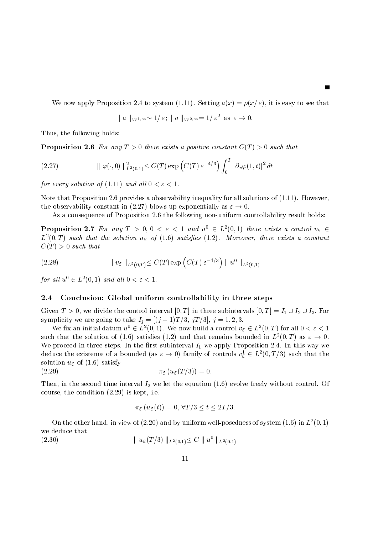where the contract of the system and the system and the system and the system and the system and the system and

$$
\| a \|_{W^{1,\infty}} \sim 1/\varepsilon; \| a \|_{W^{2,\infty}} = 1/\varepsilon^2 \text{ as } \varepsilon \to 0.
$$

Thus, the following holds:

Proposition For any T there exists a positive constant C T such that

(2.27) 
$$
\| \varphi(\cdot, 0) \|_{L^2(0,1)}^2 \leq C(T) \exp \left( C(T) \, \varepsilon^{-4/3} \right) \int_0^T |\partial_x \varphi(1,t)|^2 \, dt
$$

for every solution of factors, which we have a set of the set of the set of the set of the set of the set of the

Note that Proposition  provides a observability inequality for all solutions of --- However the observability constant in (2.27) blows up exponentially as  $\varepsilon \to 0$ .

As a consequence of Proposition 2.6 the following non-uniform controllability result holds:

**Proposition 2.7** For any  $T > 0, 0 < \varepsilon < 1$  and  $u^{\circ} \in L^2(0,1)$  there exists a control  $v_{\varepsilon} \in$  $L^-(0,1)$  such that the solution  $u_\varepsilon$  of (1.0) satisfies (1.2). Moreover, there exists a constant  $\blacksquare$  . That the such that the such that the such that the such that the such that the such that the such that the such that the such that the such that the such that the such that the such that the such that the such th

(2.28) 
$$
\| v_{\varepsilon} \|_{L^2(0,T)} \leq C(T) \exp \left( C(T) \, \varepsilon^{-4/3} \right) \| u^0 \|_{L^2(0,1)}
$$

for all  $u^{\circ} \in L^2(0,1)$  and all  $0 < \varepsilon < 1$ .

#### 2.4 Conclusion: Global uniform controllability in three steps

Given  $T > 0$ , we divide the control interval  $[0, T]$  in three subintervals  $[0, T] = I_1 \cup I_2 \cup I_3$ . For symplicity we are going to take  $T_j = |(j-1)T/5, jT/5|, j = 1, 2, 5$ .

We fix an initial datum  $u^{\upsilon} \in L^2(0,1)$ . We now build a control  $v_{\varepsilon} \in L^2(0,T)$  for all  $0 < \varepsilon < 1$ such that the solution of (1.6) satisfies (1.2) and that remains bounded in  $L^2(0,T)$  as  $\varepsilon \to 0$ . We proceed in three steps. In the first subinterval  $I_1$  we apply Proposition 2.4. In this way we deduce the existence of a bounded (as  $\varepsilon \to 0$ ) family of controls  $v_{\varepsilon}^{\perp} \in L^2(0,T/3)$  such that the solution use that the satisfying a set of the satisfying the satisfying of the satisfying of the satisfying of

$$
\pi_{\varepsilon}(u_{\varepsilon}(T/3)) = 0.
$$

Then interval interval interval interval interval interval interval interval interval interval interval interval in  $\mathbf{r}$  is kept in the condition of the condition  $\mathbf{r}$  is kept in the condition of the condition of the condition of the condition of the condition of the condition of the condition of the condition of the condition

$$
\pi_{\varepsilon}(u_{\varepsilon}(t)) = 0, \,\forall T/3 \leq t \leq 2T/3.
$$

On the other hand, in view of (2.20) and by uniform well-posedness of system (1.0) in  $L^-(0,1)$ we deduce that

(2.30)  $\| u_{\varepsilon}(T/3) \|_{L^2(0,1)} \leq C \| u^0 \|_{L^2(0,1)}$  $(2.30)$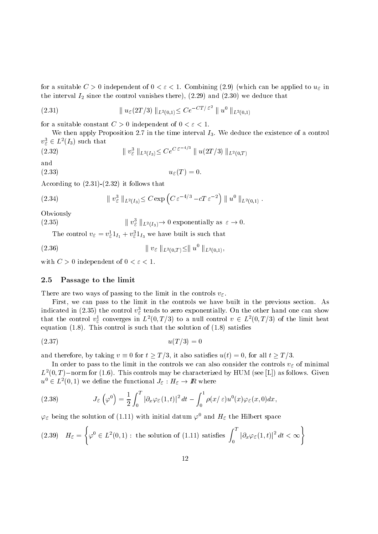independent of the suitable compiler of the compilement of  $\lambda$  independent of the properties of the suitable compiled to use of the compiled to use of the compiled to use of the compiled to use of the compiled to use of t  $\frac{1}{2}$  in the control vanishes the control vanishes the control vanishes the control vanishes that  $\frac{1}{2}$ 

(2.31) 
$$
\| u_{\varepsilon}(2T/3) \|_{L^2(0,1)} \leq C e^{-CT/\varepsilon^2} \| u^0 \|_{L^2(0,1)}
$$

for a suitable constant C  $\alpha$  or independent of  $\alpha$  ,  $\alpha$  ,  $\alpha$ 

We then apply Proposition 2.7 in the time interval  $I_3$ . We deduce the existence of a control  $v_{\varepsilon} \in L^2(I_3)$  such that

(2.32) 
$$
\| v_{\varepsilon}^{3} \|_{L^{2}(I_{3})} \leq C e^{C \varepsilon^{-4/3}} \| u(2T/3) \|_{L^{2}(0,T)}
$$

$$
(2.33) \t\t u_{\varepsilon}(T) = 0.
$$

 $\mathbf{f}$  is follows that is follows that  $\mathbf{f}$ 

(2.34) 
$$
\| v_{\varepsilon}^{3} \|_{L^{2}(I_{3})} \leq C \exp \left( C \, \varepsilon^{-4/3} - c T \, \varepsilon^{-2} \right) \| u^{0} \|_{L^{2}(0,1)}.
$$

Obviously

(2.35)  $\|v_{\varepsilon}^{3}\|_{L^{2}(I_{3})}\to 0$  exponentially as  $\varepsilon\to 0$ .  $(2.35)$ 

The control  $v_{\mathcal{E}} = v_{\mathcal{E}} \mathbb{1}_{I_1} + v_{\mathcal{E}} \mathbb{1}_{I_3}$  we have built is such that

(2.36) 
$$
\| v_{\varepsilon} \|_{L^2(0,T)} \leq \| u^0 \|_{L^2(0,1)},
$$

with C  $\sim$  independent of  $\sim$  independent of  $\sim$  . The contract of  $\sim$  independent of  $\sim$ 

#### 2.5 Passage to the limit

There are two ways of passing to the limit in the controls  $v_{\varepsilon}$ .

First, we can pass to the limit in the controls we have built in the previous section. As indicated in (2.55) the control  $v_{\mathcal{E}}$  tends to zero exponentially. On the other hand one can show that the control  $v_{\mathcal{E}}^{\perp}$  converges in  $L^2(0,T/3)$  to a null control  $v \in L^2(0,T/3)$  of the limit heat -quations (sc) is such that the solution of the solution of the solution of  $\sim$ 

$$
(2.37) \qquad \qquad u(T/3) = 0
$$

and therefore, by taking  $v \equiv 0$  for  $t \geq T/3$ , it also satisfies  $u(t) = 0$ , for all  $t \geq T/3$ .

In order to pass to the limit in the controls we can also consider the controls  $v_{\varepsilon}$  of minimal  $L^-(0,1)$  -norm for (1.0). This controls may be characterized by HUM (see [L]) as follows. Given  $u^{\circ} \in L^2(0,1)$  we define the functional  $J_{\varepsilon}: H_{\varepsilon} \to I\!\!R$  where

(2.38) 
$$
J_{\varepsilon}\left(\varphi^0\right) = \frac{1}{2} \int_0^T |\partial_x \varphi_{\varepsilon}(1,t)|^2 dt - \int_0^1 \rho(x/\varepsilon) u^0(x) \varphi_{\varepsilon}(x,0) dx,
$$

 $\varphi_{\varepsilon}$  being the solution of (1.11) with initial datum  $\varphi^{\downarrow}$  and  $\pi_{\varepsilon}$  the fillbert space

$$
(2.39) \quad H_{\varepsilon} = \left\{ \varphi^0 \in L^2(0,1) : \text{ the solution of (1.11) satisfies } \int_0^T |\partial_x \varphi_{\varepsilon}(1,t)|^2 \, dt < \infty \right\}
$$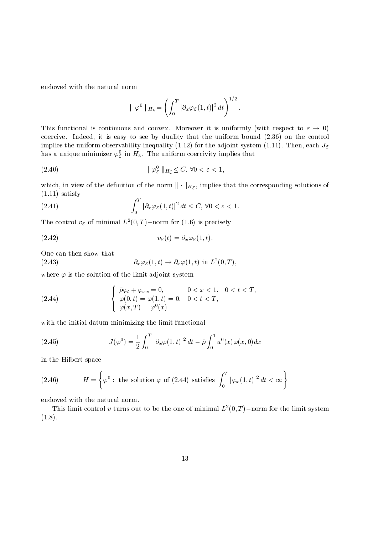endowed with the natural norm

$$
\|\varphi^0\|_{H_{\mathcal{E}}}=\left(\int_0^T|\partial_x\varphi_{\mathcal{E}}(1,t)|^2\,dt\right)^{1/2}.
$$

This functional is continuous and convex. Moreover it is uniformly (with respect to  $\varepsilon \to 0$ ) coercive Indeed in the control of the control that the uniform bound bound  $\mathcal{C}$  and the control of implies the uniform observability in the adjoint system of the adjoint system of the adjoint system of the adjoint system of the adjoint system of the adjoint system of the adjoint system of the adjoint system of the syste has a unique minimizer  $\varphi_{\varepsilon}$  in  $n_{\varepsilon}$ . The uniform coercivity implies that

k kH C- -

which, in view of the definition of the norm  $\|\cdot\|_{H_{\mathcal{E}}}$ , implies that the corresponding solutions of  $\overline{a}$  $\blacksquare$ 

(2.41) 
$$
\int_0^T |\partial_x \varphi_{\varepsilon}(1,t)|^2 dt \leq C, \forall 0 < \varepsilon < 1.
$$

The control  $v_{\mathcal{E}}$  of minimal  $L^{-}(0, 1)$  –norm for (1.0) is precisely

$$
(2.42) \t v_{\varepsilon}(t) = \partial_x \varphi_{\varepsilon}(1, t).
$$

One can then show that

(2.43) 
$$
\partial_x \varphi_{\varepsilon}(1,t) \to \partial_x \varphi(1,t) \text{ in } L^2(0,T),
$$

where  $\varphi$  is the solution of the limit adjoint system

(2.44) 
$$
\begin{cases} \bar{\rho}\varphi_t + \varphi_{xx} = 0, & 0 < x < 1, \ 0 < t < T, \\ \varphi(0, t) = \varphi(1, t) = 0, & 0 < t < T, \\ \varphi(x, T) = \varphi^0(x) \end{cases}
$$

with the initial datum minimizing the limit functional

(2.45) 
$$
J(\varphi^0) = \frac{1}{2} \int_0^T |\partial_x \varphi(1, t)|^2 dt - \bar{\rho} \int_0^1 u^0(x) \varphi(x, 0) dx
$$

in the Hilbert space

(2.46) 
$$
H = \left\{ \varphi^0 : \text{ the solution } \varphi \text{ of (2.44) satisfies } \int_0^T |\varphi_x(1,t)|^2 dt < \infty \right\}
$$

endowed with the natural norm

This minit control v turns out to be the one of minimal  $L$   $(0,1)$  -horm for the minit system  $\cdot$  -  $\cdot$  -  $\cdot$  -  $\cdot$  -  $\cdot$  -  $\cdot$  -  $\cdot$  -  $\cdot$  -  $\cdot$  -  $\cdot$  -  $\cdot$  -  $\cdot$  -  $\cdot$  -  $\cdot$  -  $\cdot$  -  $\cdot$  -  $\cdot$  -  $\cdot$  -  $\cdot$  -  $\cdot$  -  $\cdot$  -  $\cdot$  -  $\cdot$  -  $\cdot$  -  $\cdot$  -  $\cdot$  -  $\cdot$  -  $\cdot$  -  $\cdot$  -  $\cdot$  -  $\cdot$  -  $\cdot$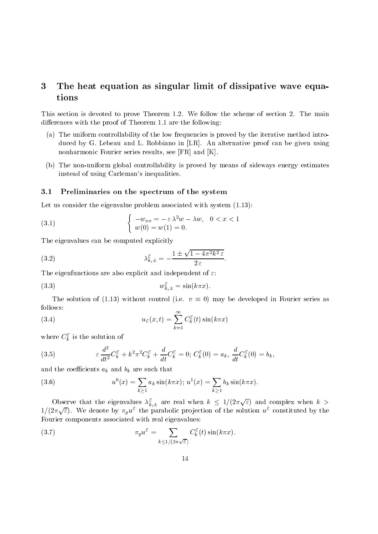### 3 The heat equation as singular limit of dissipative wave equations

This section is devoted to prove Theorem -  $\mathbb{N}$  theorem -  $\mathbb{N}$  the scheme of section  $\mathbb{N}$ diere the the following proof of Theorem - the following the following the following the following the following the following the following the following the following the following the following the following the followi

- a The uniform controllability of the low frequencies is proved by the iterative method introduces is proved by the iterative method introduces introduces is proved by the introduced by the introduces introduces in the int duced by G. Lebeau and L. Robbiano in  $[LR]$ . An alternative proof can be given using nonharmonic Fourier series results, see  $[FR]$  and  $[K]$ .
- $\mathcal{L}^{\text{tr}}$  , the non-trollability is defined by means of sideways energy estimates  $\mathcal{L}^{\text{tr}}$ instead of using Carleman's inequalities.

#### 3.1 Preliminaries on the spectrum of the system

Let us consider the eigenvalue problem associated with system --

(3.1) 
$$
\begin{cases}\n-w_{xx} = -\varepsilon \lambda^2 w - \lambda w, & 0 < x < 1 \\
w(0) = w(1) = 0.\n\end{cases}
$$

The eigenvalues can be computed explicitly

(3.2) 
$$
\lambda_{k,\pm}^{\varepsilon} = -\frac{1 \pm \sqrt{1 - 4\pi^2 k^2 \varepsilon}}{2 \varepsilon}.
$$

The eigenfunctions are also explicit and independent of  $\varepsilon$ .

(3.3) 
$$
w_{k,\pm}^{\varepsilon} = \sin(k\pi x).
$$

The solution of (1.13) without control (i.e.  $v \equiv 0$ ) may be developed in Fourier series as follows

(3.4) 
$$
u_{\varepsilon}(x,t) = \sum_{k=1}^{\infty} C_k^{\varepsilon}(t) \sin(k\pi x)
$$

where  $C_{\vec{k}}$  is the solution of

(3.5) 
$$
\varepsilon \frac{d^2}{dt^2} C_k^{\varepsilon} + k^2 \pi^2 C_k^{\varepsilon} + \frac{d}{dt} C_k^{\varepsilon} = 0; C_k^{\varepsilon}(0) = a_k, \frac{d}{dt} C_k^{\varepsilon}(0) = b_k,
$$

and the coefficients  $a_k$  and  $b_k$  are such that

(3.6) 
$$
u^{0}(x) = \sum_{k \geq 1} a_{k} \sin(k \pi x); u^{1}(x) = \sum_{k \geq 1} b_{k} \sin(k \pi x).
$$

Observe that the eigenvalues  $\lambda_{k,\pm}^{\varepsilon}$  are real when  $k \leq 1/(2\pi\sqrt{\varepsilon})$  and complex when  $k >$  $1/(2\pi\sqrt{\varepsilon})$ . We denote by  $\pi_p u^{\varepsilon}$  the parabolic projection of the solution  $u^{\varepsilon}$  constituted by the Fourier components associated with real eigenvalues

(3.7) 
$$
\pi_p u^{\varepsilon} = \sum_{k \le 1/(2\pi\sqrt{\varepsilon})} C_k^{\varepsilon}(t) \sin(k\pi x).
$$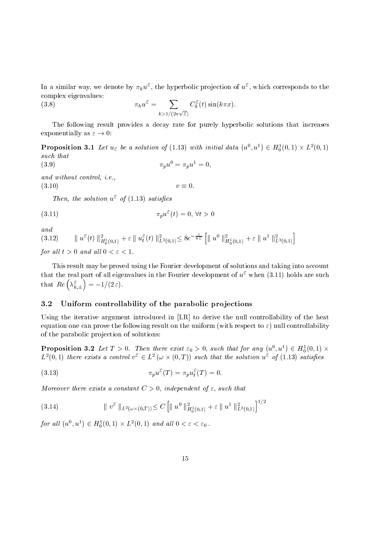In a similar way, we denote by  $\pi_h u$  , the hyperbolic projection of  $u$  , which corresponds to the complex eigenvalues

(3.8) 
$$
\pi_h u^{\varepsilon} = \sum_{k > 1/(2\pi\sqrt{\varepsilon})} C_k^{\varepsilon}(t) \sin(k\pi x).
$$

The following result provides a decay rate for purely hyperbolic solutions that increases exponentially as  $\varepsilon \to 0$ :

**Proposition 3.1** Let  $u_{\varepsilon}$  be a solution of (1.13) with initial data  $(u^0, u^1) \in H_0^1(0,1) \times L^2(0,1)$ such that  $\pi_p u = \pi_p u = 0,$  $(3.9)$ 

and without control-  $\mathcal{V}$  is expected to the control-  $\mathcal{V}$  is the control-

 $v \equiv 0.$ 

 $I$  hen, the solution  $u^{\dagger}$  of (1.15) satisfies

$$
\pi_p u^{\varepsilon}(t) = 0, \,\forall t > 0
$$

and

-

 $\|u^{\varepsilon}(t)\|_{H_0^1(0,1)}^2+\varepsilon \|u^{\varepsilon}_t(t)\|_{L^2(0,1)}^2 \leq 8 e^{-\frac{t}{8\,\varepsilon}}\left[\|u^0\|_{H_0^1(0,1)}^2+\varepsilon \|u^1\|_{L^2(0,1)}^2\right]$  $\sqrt{2}$  .  $\sqrt{2}$  .  $\sqrt{2}$  .  $\sqrt{2}$  .  $\sqrt{2}$ 

for all l t  $\alpha$  and all l t  $\alpha$  and all l t  $\alpha$  and all l  $\alpha$  and all l  $\alpha$ 

This result may be proved using the Fourier development of solutions and taking into account that the real part of all eigenvalues in the Fourier development of  $u^*$  when (5.11) holds are such that  $Re\left(\lambda_{k,\pm}^{\varepsilon}\right) = -1/(2$  $\mathcal{L}$  and  $\mathcal{L}$  and  $\mathcal{L}$  and  $\mathcal{L}$  and  $\mathcal{L}$  and  $\mathcal{L}$  and  $\mathcal{L}$  and  $\mathcal{L}$  and  $\mathcal{L}$  and  $\mathcal{L}$  and  $\mathcal{L}$  and  $\mathcal{L}$  and  $\mathcal{L}$  and  $\mathcal{L}$  and  $\mathcal{L}$  and  $\mathcal{L}$  and  $\mathcal{L}$  and  $-1/(2c)$ .

#### 3.2 Uniform controllability of the parabolic pro jections

Using the iterative argument introduced in [LR] to derive the null controllability of the heat equation one can prove the following result on the uniform (with respect  $\varphi$  ) must controllabely of the parabolic projection of solutions:

**Proposition 3.2** Let  $T > 0$ . Then there exist  $\varepsilon_0 > 0$ , such that for any  $(u^0, u^1) \in H_0^1(0, 1) \times$  $L^2(0,1)$  there exists a control  $v^{\circ} \in L^2(\omega \times (0,T))$  such that the solution  $u^{\circ}$  of (1.13) satisfies

(3.13) 
$$
\pi_p u^{\varepsilon}(T) = \pi_p u_t^{\varepsilon}(T) = 0.
$$

more that there exists a constant C  $\alpha$  - with the primary of a constant of the constant

$$
(3.14) \t\t\t || v\varepsilon ||L2(\omega \times (0,T)) \leq C \left[ || u0 ||H01(0,1) + \varepsilon || u1 ||L2(0,1)1/2 \right]
$$

for all  $(u^0, u^1) \in H_0^1(0,1) \times L^2(0,1)$  and all  $0 < \varepsilon < \varepsilon_0$ .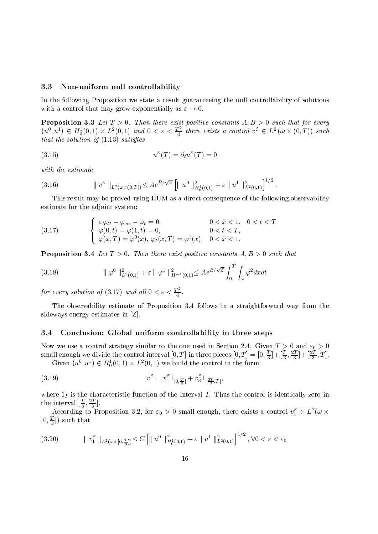#### 3.3 Non-uniform null controllability

In the following Proposition we state a result guaranteeing the null controllability of solutions with a control that may grow exponentially as  $\varepsilon \to 0$ .

Proposition Let T Then there exist positive constants A- B such that for every  $(u^0, u^1) \in H_0^1(0,1) \times L^2(0,1)$  and  $0 < \varepsilon < \frac{T^2}{4}$  there exists a control  $v^{\varepsilon} \in L^2(\omega \times (0,T))$  such that the solution of the solution of the solution of the solution of the solution of the solution of the solution of the solution of the solution of the solution of the solution of the solution of the solution of the solut

(3.15) 
$$
u^{\varepsilon}(T) = \partial_t u^{\varepsilon}(T) = 0
$$

with the estimate

$$
(3.16) \t\t\t || v\varepsilon ||L2(\omega \times (0,T)) \leq A e^{B/\sqrt{\varepsilon}} \left[ || u0 ||H01(0,1) + \varepsilon || u1 ||L2(0,1)1 \right]^{1/2}.
$$

This result may be proved using HUM as a direct consequence of the following observability estimate for the adjoint system

(3.17) 
$$
\begin{cases} \varepsilon \varphi_{tt} - \varphi_{xx} - \varphi_t = 0, & 0 < x < 1, \ 0 < t < T \\ \varphi(0, t) = \varphi(1, t) = 0, & 0 < t < T, \\ \varphi(x, T) = \varphi^0(x), \ \varphi_t(x, T) = \varphi^1(x), \ 0 < x < 1. \end{cases}
$$

Proposition Let <sup>T</sup> Then there exist positive constants A- B such that

(3.18) 
$$
\|\varphi^0\|_{L^2(0,1)}^2 + \varepsilon \|\varphi^1\|_{H^{-1}(0,1)}^2 \leq Ae^{B/\sqrt{\varepsilon}} \int_0^T \int_{\omega} \varphi^2 dx dt
$$

for every solution of (3.17) and all  $0 < \varepsilon < \frac{1}{4}$ .

The observability estimate of Proposition 3.4 follows in a straightforward way from the sideways energy estimates in [Z].

#### 3.4 Conclusion: Global uniform controllability in three steps

Now we use a control strategy similar to the one used in Section 2.4. Given  $T > 0$  and  $\varepsilon_0 > 0$ small enough we divide the control interval  $[0, 1]$  in three pieces:  $[0, 1] = [0, \frac{1}{3}] + [\frac{1}{3}, \frac{1}{3}] + [\frac{1}{3}, \frac{1}{3}]$  $\frac{1}{3}$  +  $\frac{1}{3}$ , 1, Given  $(u^0, u^1) \in H_0^1(0,1) \times L^2(0,1)$  we build the control in the form:

(3.19) 
$$
v^{\varepsilon} = v_1^{\varepsilon} 1_{[0,\frac{T}{3}]} + v_3^{\varepsilon} 1_{[\frac{2T}{3},T]},
$$

 $\mathbf{I}$  is the characteristic function of the interval interval interval interval interval interval interval interval in  $\text{the interval } |\pi, \pi|$ .

According to Proposition 3.2, for  $\varepsilon_0 > 0$  small enough, there exists a control  $v_1^{\varepsilon} \in L^2(\omega \times$  $(0, \frac{\pi}{2})$  such that

$$
(3.20) \t\t\t || v_1^{\varepsilon} ||_{L^2(\omega \times [0, \frac{T}{3}])} \leq C \left[ || u^0 ||_{H_0^1(0, 1)}^2 + \varepsilon || u^1 ||_{L^2(0, 1)}^2 \right]^{1/2}, \ \forall 0 < \varepsilon < \varepsilon_0
$$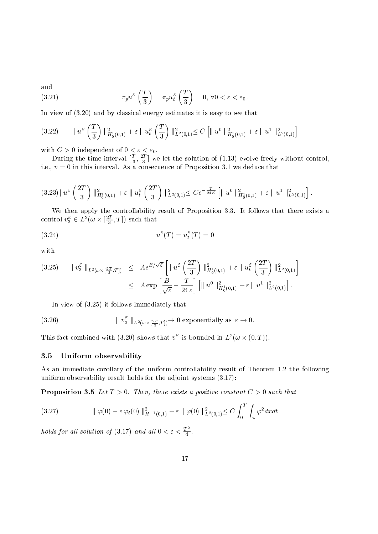(3.21) 
$$
\pi_p u^{\varepsilon} \left( \frac{T}{3} \right) = \pi_p u_t^{\varepsilon} \left( \frac{T}{3} \right) = 0, \forall 0 < \varepsilon < \varepsilon_0.
$$

In view of the contract energy estimates in the contract of the contract energy estimates it is easy to see that  $\mathbf{r}_i$ 

$$
(3.22) \qquad \parallel u^{\varepsilon} \left(\frac{T}{3}\right) \parallel_{H_0^1(0,1)}^2 + \varepsilon \parallel u^{\varepsilon} \left(\frac{T}{3}\right) \parallel_{L^2(0,1)}^2 \leq C \left[\parallel u^0 \parallel_{H_0^1(0,1)}^2 + \varepsilon \parallel u^1 \parallel_{L^2(0,1)}^2\right]
$$

with  $C > 0$  independent of  $0 < \varepsilon < \varepsilon_0$ .

During the time interval  $[\frac{1}{3}, \frac{1}{3}]$  we let  $\mathcal{S}$  . The solution of the solution of the solution of the solution of the solution of the solution of the solution of the solution of the solution of the solution of the solution of the solution of the solution of th ie v de version - we deduce that interval As a consecuence of Proposition - we deduce that interval As a consecuence that is a consecuence of Proposition - we deduce that is a consecuence of Proposition - we deduce that is

$$
(3.23) \| u^{\varepsilon} \left( \frac{2T}{3} \right) \|_{H_0^1(0,1)}^2 + \varepsilon \| u_{t}^{\varepsilon} \left( \frac{2T}{3} \right) \|_{L^2(0,1)}^2 \leq C e^{-\frac{T}{24 \varepsilon}} \left[ \| u^0 \|_{H_0^1(0,1)}^2 + \varepsilon \| u^1 \|_{L^2(0,1)}^2 \right].
$$

We then apply the controllability result of Proposition 3.3. It follows that there exists a control  $v_3^{\circ} \in L^2(\omega \times [\frac{24}{3}, T])$  such that

$$
(3.24) \t\t u^{\varepsilon}(T) = u_t^{\varepsilon}(T) = 0
$$

with

$$
(3.25) \qquad \parallel v_3^{\varepsilon} \parallel_{L^2(\omega \times [\frac{2T}{3}, T])} \leq A e^{B/\sqrt{\varepsilon}} \left[ \parallel u^{\varepsilon} \left( \frac{2T}{3} \right) \parallel_{H_0^1(0, 1)}^2 + \varepsilon \parallel u_t^{\varepsilon} \left( \frac{2T}{3} \right) \parallel_{L^2(0, 1)}^2 \right]
$$
  

$$
\leq A \exp \left[ \frac{B}{\sqrt{\varepsilon}} - \frac{T}{24 \varepsilon} \right] \left[ \parallel u^0 \parallel_{H_0^1(0, 1)}^2 + \varepsilon \parallel u^1 \parallel_{L^2(0, 1)}^2 \right].
$$

In view of the contract of the contract of the contract of the contract of the contract of the contract of the contract of the contract of the contract of the contract of the contract of the contract of the contract of th

(3.26) 
$$
\| v_3^{\varepsilon} \|_{L^2(\omega \times [\frac{2T}{3},T])} \to 0 \text{ exponentially as } \varepsilon \to 0.
$$

This fact combined with (3.20) shows that  $v^2$  is bounded in  $L^2(\omega \times (0,T))$ .

#### 3.5 Uniform observability

As an immediate corollary of the uniform controllability result of Theorem - the following uniform observability result holds for the adjoint systems -

Proposition is the constant of the such that the positive constant C , we should that the constant  $\mathcal{L}$ 

$$
(3.27) \t\t || \varphi(0) - \varepsilon \varphi_t(0) ||_{H^{-1}(0,1)}^2 + \varepsilon || \varphi(0) ||_{L^2(0,1)}^2 \le C \int_0^T \int_{\omega} \varphi^2 dx dt
$$

holds for all solution of  $(3.17)$  and all  $0 < \varepsilon < \frac{1}{4}$ .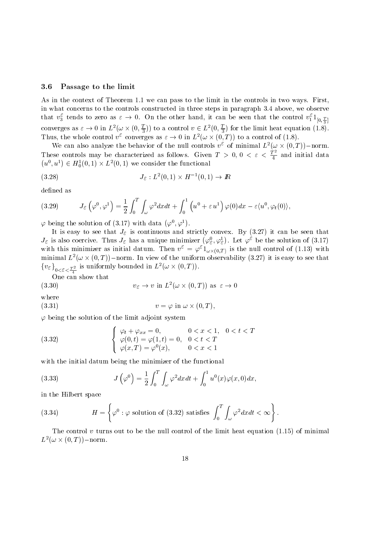#### 3.6 Passage to the limit

As in the context of Theorem -- we can pass to the limit in the controls in two ways First in what concerns to the controls constructed in three steps in paragraph  $3.4$  above, we observe that  $v_3$  tends to zero as  $\varepsilon \to 0$ . On the other hand, it can be seen that the control  $v_1^r 1_{[0, \frac{T}{2}]}$ converges as  $\varepsilon \to 0$  in  $L^2(\omega \times (0, \frac{T}{3}))$  to a control  $v \in L^2(0, \frac{T}{3})$  for the limit heat equation  $(1.8)$ . Thus, the whole control  $v^{\circ}$  converges as  $\varepsilon \to 0$  in  $L^2(\omega \times (0,T))$  to a control of (1.8).

We can also analyze the behavior of the null controls  $v^{\circ}$  of minimal  $L^{2}(\omega \times (0,T))$  -norm. These controls may be characterized as follows. Given  $T > 0, 0 < \varepsilon < \frac{T}{4}$  and initial data  $(u^0, u^1) \in H_0^1(0,1) \times L^2(0,1)$  we consider the functional

$$
(3.28) \t\t J_{\varepsilon}: L^{2}(0,1) \times H^{-1}(0,1) \to I\!\!R
$$

defined as

(3.29) 
$$
J_{\varepsilon}\left(\varphi^{0},\varphi^{1}\right)=\frac{1}{2}\int_{0}^{T}\int_{\omega}\varphi^{2}dxdt+\int_{0}^{1}\left(u^{0}+\varepsilon u^{1}\right)\varphi(0)dx-\varepsilon\langle u^{0},\varphi_{t}(0)\rangle,
$$

 $\varphi$  being the solution of (3.17) with data  $(\varphi^0, \varphi^1)$ .

It is easy to see that  $J_{\varepsilon}$  is continuous and strictly convex. By (3.27) it can be seen that  $J_{\varepsilon}$  is also coercive. Thus  $J_{\varepsilon}$  has a unique minimizer  $(\varphi_{\varepsilon}^0, \varphi_{\varepsilon}^1)$ . Let  $\varphi^{\varepsilon}$  be the solution of (3.17) ). Let  $\varphi^{\varepsilon}$  be the solution of (3.17) with this infinimizer as initial datum. Then  $v^* = \varphi^* 1_{\omega \times (0,T)}$  is the null control of (1.15) with minimal  $L^2(\omega \times (0,T))$  - norm. In view of the uniform observability (3.27) it is easy to see that  ${v_{\varepsilon}}_{0<\varepsilon<\frac{T^2}{2}}$  is uniformly bounded in  $L^2(\omega\times(0,T)).$ 

(3.30) 
$$
v_{\varepsilon} \to v \text{ in } L^2(\omega \times (0,T)) \text{ as } \varepsilon \to 0
$$

where

$$
(3.31) \t\t v = \varphi \text{ in } \omega \times (0, T),
$$

 $\varphi$  being the solution of the limit adjoint system

(3.32) 
$$
\begin{cases} \varphi_t + \varphi_{xx} = 0, & 0 < x < 1, \ 0 < t < T \\ \varphi(0, t) = \varphi(1, t) = 0, & 0 < t < T \\ \varphi(x, T) = \varphi^0(x), & 0 < x < 1 \end{cases}
$$

with the initial datum being the minimizer of the functional

(3.33) 
$$
J\left(\varphi^0\right) = \frac{1}{2} \int_0^T \int_\omega \varphi^2 dx dt + \int_0^1 u^0(x) \varphi(x,0) dx,
$$

in the Hilbert space

(3.34) 
$$
H = \left\{ \varphi^0 : \varphi \text{ solution of (3.32) satisfies } \int_0^T \int_{\omega} \varphi^2 dx dt < \infty \right\}.
$$

The control v turns out to be the null control of the limit heat equation -- of minimal  $L^2(\omega \times (0,T))$  – norm.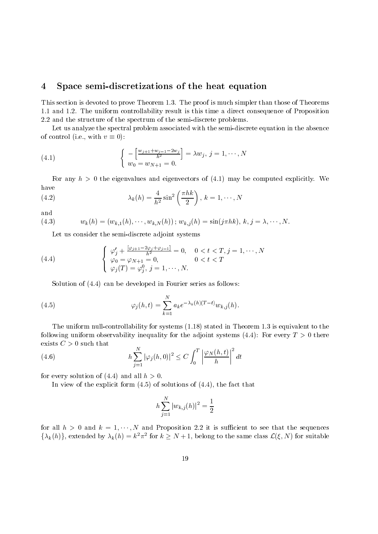#### $\overline{\mathbf{4}}$ Space semi-discretizations of the heat equation

This section is devoted to prove Theorem - The proof is much simpler than those of Theorems  $\mathbf{r}$  and  $\mathbf{r}$  and  $\mathbf{r}$  result is this time a direct controllability result is this time a direct consequence of  $\mathbf{r}$ 2.2 and the structure of the spectrum of the semi-discrete problems.

Let us analyze the spectral problem associated with the semi
discrete equation in the absence of control (i.e., with  $v \equiv 0$ ):

(4.1) 
$$
\begin{cases} -\left[\frac{w_{j+1}+w_{j-1}-2w_j}{h^2}\right] = \lambda w_j, \ j = 1, \cdots, N \\ w_0 = w_{N+1} = 0. \end{cases}
$$

For any h the eigenvalues and eigenvectors of - may be computed explicitly We have  $\mathcal{L}$   $\mathbf{L}$ 

(4.2) 
$$
\lambda_k(h) = \frac{4}{h^2} \sin^2\left(\frac{\pi hk}{2}\right), k = 1, \cdots, N
$$

and

(4.3) 
$$
w_k(h) = (w_{k,1}(h), \cdots, w_{k,N}(h)); w_{k,j}(h) = \sin(j\pi hk), k, j = \lambda, \cdots, N.
$$

Let us consider the semi
discrete adjoint systems

(4.4) 
$$
\begin{cases} \varphi'_j + \frac{[\varphi_{j+1} - 2\varphi_j + \varphi_{j-1}]}{h^2} = 0, & 0 < t < T, j = 1, \dots, N \\ \varphi_0 = \varphi_{N+1} = 0, & 0 < t < T \\ \varphi_j(T) = \varphi_j^0, j = 1, \dots, N. \end{cases}
$$

solution of the follows are series as follows as follows as follows as follows as follows:

(4.5) 
$$
\varphi_j(h,t) = \sum_{k=1}^N a_k e^{-\lambda_k(h)(T-t)} w_{k,j}(h).
$$

The uniform null
controllability for systems -- stated in Theorem - is equivalent to the for the adjoint  $\alpha$  and  $\alpha$  observable and adjoint system adjoint system for the adjoint system of  $\alpha$  there are adjoint to the adjoint to  $\alpha$ exists  $C > 0$  such that

(4.6) 
$$
h \sum_{j=1}^{N} |\varphi_j(h,0)|^2 \leq C \int_0^T \left| \frac{\varphi_N(h,t)}{h} \right|^2 dt
$$

for every solution of and all h 

In view of the explicit form of solutions of the fact that

$$
h\sum_{j=1}^N |w_{k,j}(h)|^2 = \frac{1}{2}
$$

for all  $n > 0$  and  $\kappa = 1, \cdots, N$  and I reposition 2.2 it is summer to see that the sequences  $\{\lambda_k(h)\},$  extended by  $\lambda_k(h) = k^2 \pi^2$  for  $k \geq N+1$ , belong to the same class  $\mathcal{L}(\xi, N)$  for suitable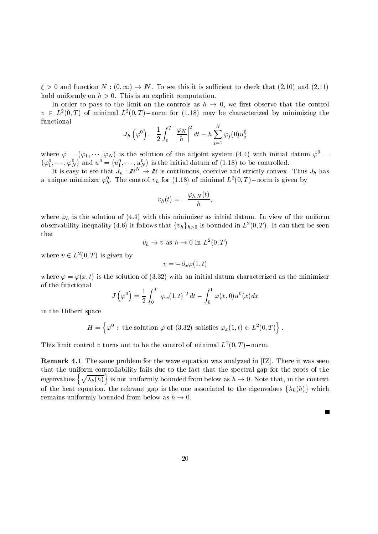$\xi > 0$  and function  $N : (0, \infty) \to I\!N$ . To see this it is sufficient to check that (2.10) and (2.11) hold uniformly on  $h > 0$ . This is an explicit computation.

In order to pass to the limit on the controls as  $h \to 0$ , we first observe that the control  $v \in L^2(0,T)$  of minimal  $L^2(0,T)$ -norm for (1.18) may be characterized by minimizing the functional

$$
J_h\left(\varphi^0\right)=\frac{1}{2}\int_0^T\left|\frac{\varphi_N}{h}\right|^2dt-h\sum_{j=1}^N\varphi_j(0)u_j^0
$$

where  $\varphi = (\varphi_1, \cdots, \varphi_N)$  is the solution of the adjoint system (4.4) with initial datum  $\varphi^* =$  $(\varphi_1^0, \cdots, \varphi_N^0)$  and  $u^0 =$ ) and  $u^0 = (u_1^0, \dots, u_N^0)$  is the in  $\mathbf{v}$  and  $\mathbf{v}$  are all  $\mathbf{v}$  and  $\mathbf{v}$  are all  $\mathbf{v}$  and  $\mathbf{v}$ 

It is easy to see that  $J_h : \mathbb{R}^N \to \mathbb{R}$  is continuous, coercive and strictly convex. Thus  $J_h$  has a unique minimizer  $\varphi_h$ . The control  $v_h$  for (1.18) of minimal L- (0,1) – norm is given by

$$
v_h(t)=-\frac{\varphi_{h,N}(t)}{h},
$$

 $\frac{1}{10}$  is the solution of this minimizer as initial datum In view of the uniform In view of the uniform In view of the uniform In view of the uniform In view of the uniform In view of the uniform In view of the unifor observability inequality (4.6) it follows that  $\{v_h\}_{h>0}$  is bounded in  $L^2(0,T)$ . It can then be seen that

$$
v_h \to v
$$
 as  $h \to 0$  in  $L^2(0,T)$ 

where  $v \in L^2(0,T)$  is given by

$$
v=-\partial_x\varphi(1,t)
$$

where  $\mathbf{r} = \mathbf{r}$  is the solution of the solution of the minimizer as the minimizer  $\mathbf{r}$ of the functional

$$
J\left(\varphi^0\right)=\frac{1}{2}\int_0^T\left|\varphi_x(1,t)\right|^2dt-\int_0^1\varphi(x,0)u^0(x)dx
$$

in the Hilbert space

$$
H = \left\{ \varphi^0 : \text{ the solution } \varphi \text{ of (3.32) satisfies } \varphi_x(1, t) \in L^2(0, T) \right\}.
$$

This limit control v turns out to be the control of minimal  $L$   $(0,1)$  -norm.

Remark - The same problem for the wave equation was analyzed in IZ There it was seen that the uniform controllability fails due to the fact that the spectral gap for the roots of the eigenvalues  $\{\sqrt{\lambda_k(h)}\}$  is not uniformly bounded from below as  $h \to 0$ . Note that, in the context of the heat equation, the relevant gap is the one associated to the eigenvalues  $\{\lambda_k(h)\}\$  which remains uniformly bounded from below as  $h \to 0$ .